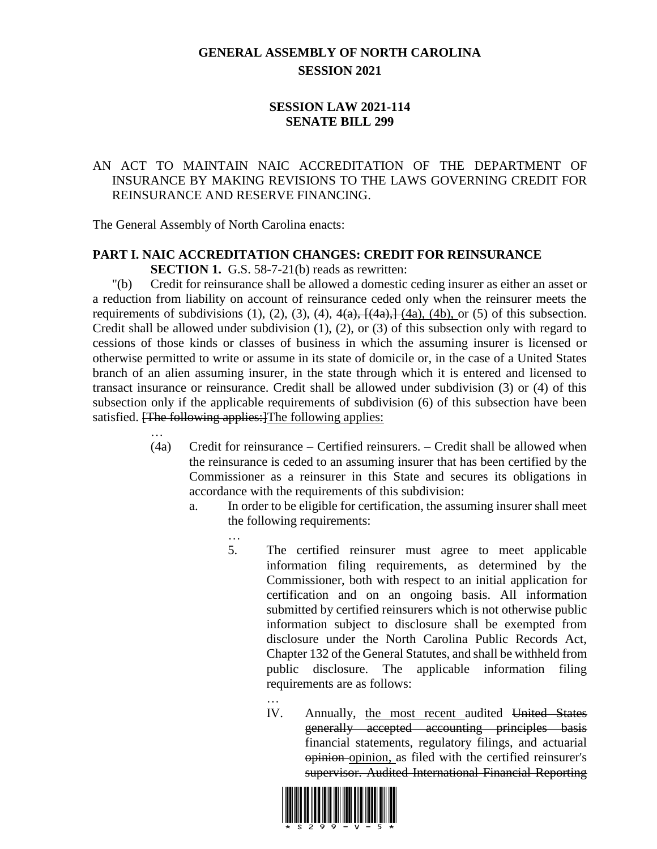## **GENERAL ASSEMBLY OF NORTH CAROLINA SESSION 2021**

## **SESSION LAW 2021-114 SENATE BILL 299**

## AN ACT TO MAINTAIN NAIC ACCREDITATION OF THE DEPARTMENT OF INSURANCE BY MAKING REVISIONS TO THE LAWS GOVERNING CREDIT FOR REINSURANCE AND RESERVE FINANCING.

The General Assembly of North Carolina enacts:

# **PART I. NAIC ACCREDITATION CHANGES: CREDIT FOR REINSURANCE**

**SECTION 1.** G.S. 58-7-21(b) reads as rewritten:

"(b) Credit for reinsurance shall be allowed a domestic ceding insurer as either an asset or a reduction from liability on account of reinsurance ceded only when the reinsurer meets the requirements of subdivisions (1), (2), (3), (4),  $4(a)$ ,  $[4a)$ ,  $[4a)$ ,  $(4b)$ , or (5) of this subsection. Credit shall be allowed under subdivision (1), (2), or (3) of this subsection only with regard to cessions of those kinds or classes of business in which the assuming insurer is licensed or otherwise permitted to write or assume in its state of domicile or, in the case of a United States branch of an alien assuming insurer, in the state through which it is entered and licensed to transact insurance or reinsurance. Credit shall be allowed under subdivision (3) or (4) of this subsection only if the applicable requirements of subdivision (6) of this subsection have been satisfied. [The following applies:] The following applies:

- … (4a) Credit for reinsurance – Certified reinsurers. – Credit shall be allowed when the reinsurance is ceded to an assuming insurer that has been certified by the Commissioner as a reinsurer in this State and secures its obligations in accordance with the requirements of this subdivision:
	- a. In order to be eligible for certification, the assuming insurer shall meet the following requirements:
		- … 5. The certified reinsurer must agree to meet applicable information filing requirements, as determined by the Commissioner, both with respect to an initial application for certification and on an ongoing basis. All information submitted by certified reinsurers which is not otherwise public information subject to disclosure shall be exempted from disclosure under the North Carolina Public Records Act, Chapter 132 of the General Statutes, and shall be withheld from public disclosure. The applicable information filing requirements are as follows:
			- IV. Annually, the most recent audited United States generally accepted accounting principles basis  $\overrightarrow{a}$  financial statements, regulatory filings, and actuarial opinion opinion, as filed with the certified reinsurer's supervisor. Audited International Financial Reporting



…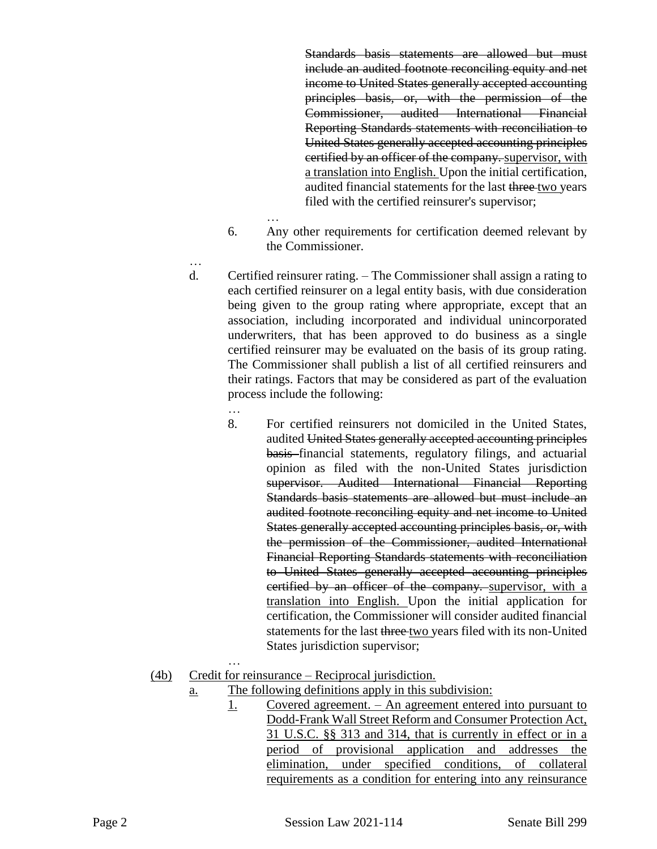Standards basis statements are allowed but must include an audited footnote reconciling equity and net income to United States generally accepted accounting principles basis, or, with the permission of the Commissioner, audited International Financial Reporting Standards statements with reconciliation to United States generally accepted accounting principles certified by an officer of the company. supervisor, with a translation into English. Upon the initial certification, audited financial statements for the last three two years filed with the certified reinsurer's supervisor;

- 6. Any other requirements for certification deemed relevant by the Commissioner.
- …

d. Certified reinsurer rating. – The Commissioner shall assign a rating to each certified reinsurer on a legal entity basis, with due consideration being given to the group rating where appropriate, except that an association, including incorporated and individual unincorporated underwriters, that has been approved to do business as a single certified reinsurer may be evaluated on the basis of its group rating. The Commissioner shall publish a list of all certified reinsurers and their ratings. Factors that may be considered as part of the evaluation process include the following:

…

…

…

- 8. For certified reinsurers not domiciled in the United States, audited United States generally accepted accounting principles basis financial statements, regulatory filings, and actuarial opinion as filed with the non-United States jurisdiction supervisor. Audited International Financial Reporting Standards basis statements are allowed but must include an audited footnote reconciling equity and net income to United States generally accepted accounting principles basis, or, with the permission of the Commissioner, audited International Financial Reporting Standards statements with reconciliation to United States generally accepted accounting principles certified by an officer of the company. supervisor, with a translation into English. Upon the initial application for certification, the Commissioner will consider audited financial statements for the last three two years filed with its non-United States jurisdiction supervisor;
- (4b) Credit for reinsurance Reciprocal jurisdiction.
	- a. The following definitions apply in this subdivision:
		- 1. Covered agreement. An agreement entered into pursuant to Dodd-Frank Wall Street Reform and Consumer Protection Act, 31 U.S.C. §§ 313 and 314, that is currently in effect or in a period of provisional application and addresses the elimination, under specified conditions, of collateral requirements as a condition for entering into any reinsurance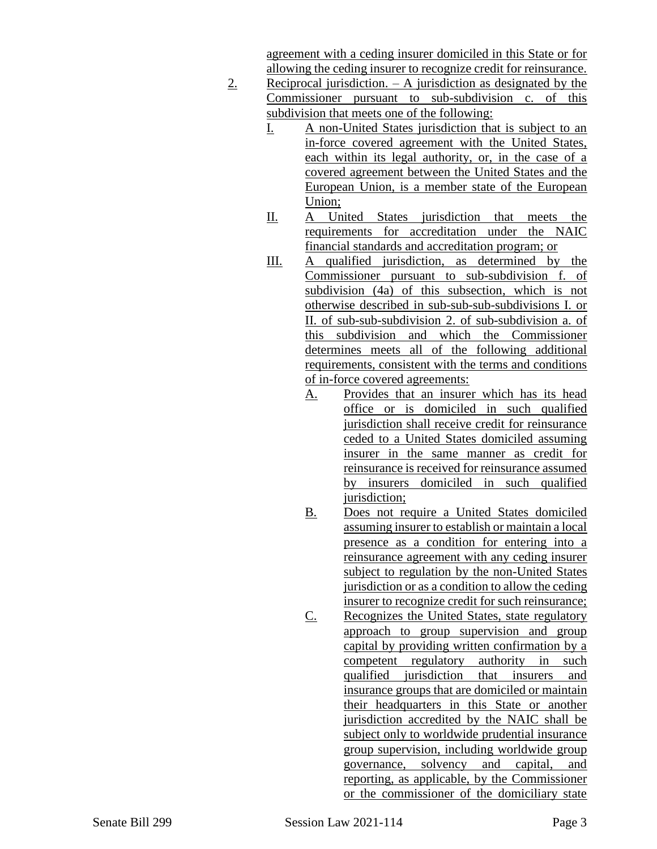agreement with a ceding insurer domiciled in this State or for allowing the ceding insurer to recognize credit for reinsurance.

- 2. Reciprocal jurisdiction.  $A$  jurisdiction as designated by the Commissioner pursuant to sub-subdivision c. of this subdivision that meets one of the following:
	- I. A non-United States jurisdiction that is subject to an in-force covered agreement with the United States, each within its legal authority, or, in the case of a covered agreement between the United States and the European Union, is a member state of the European Union;
	- II. A United States jurisdiction that meets the requirements for accreditation under the NAIC financial standards and accreditation program; or
	- III. A qualified jurisdiction, as determined by the Commissioner pursuant to sub-subdivision f. of subdivision (4a) of this subsection, which is not otherwise described in sub-sub-sub-subdivisions I. or II. of sub-sub-subdivision 2. of sub-subdivision a. of this subdivision and which the Commissioner determines meets all of the following additional requirements, consistent with the terms and conditions of in-force covered agreements:
		- A. Provides that an insurer which has its head office or is domiciled in such qualified jurisdiction shall receive credit for reinsurance ceded to a United States domiciled assuming insurer in the same manner as credit for reinsurance is received for reinsurance assumed by insurers domiciled in such qualified jurisdiction;
		- B. Does not require a United States domiciled assuming insurer to establish or maintain a local presence as a condition for entering into a reinsurance agreement with any ceding insurer subject to regulation by the non-United States jurisdiction or as a condition to allow the ceding insurer to recognize credit for such reinsurance;
		- C. Recognizes the United States, state regulatory approach to group supervision and group capital by providing written confirmation by a competent regulatory authority in such qualified jurisdiction that insurers and insurance groups that are domiciled or maintain their headquarters in this State or another jurisdiction accredited by the NAIC shall be subject only to worldwide prudential insurance group supervision, including worldwide group governance, solvency and capital, and reporting, as applicable, by the Commissioner or the commissioner of the domiciliary state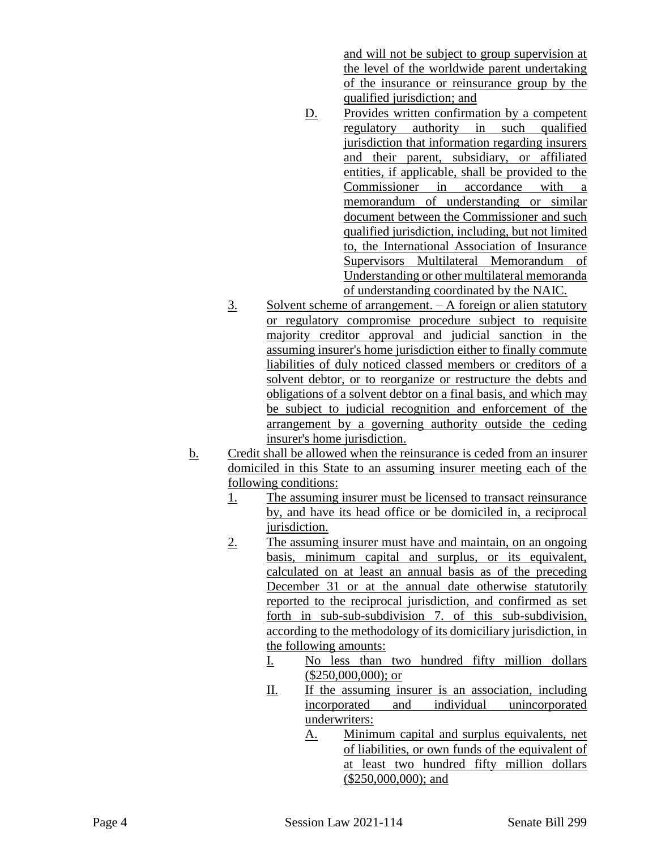and will not be subject to group supervision at the level of the worldwide parent undertaking of the insurance or reinsurance group by the qualified jurisdiction; and

- D. Provides written confirmation by a competent regulatory authority in such qualified jurisdiction that information regarding insurers and their parent, subsidiary, or affiliated entities, if applicable, shall be provided to the Commissioner in accordance with a memorandum of understanding or similar document between the Commissioner and such qualified jurisdiction, including, but not limited to, the International Association of Insurance Supervisors Multilateral Memorandum of Understanding or other multilateral memoranda of understanding coordinated by the NAIC.
- 3. Solvent scheme of arrangement. A foreign or alien statutory or regulatory compromise procedure subject to requisite majority creditor approval and judicial sanction in the assuming insurer's home jurisdiction either to finally commute liabilities of duly noticed classed members or creditors of a solvent debtor, or to reorganize or restructure the debts and obligations of a solvent debtor on a final basis, and which may be subject to judicial recognition and enforcement of the arrangement by a governing authority outside the ceding insurer's home jurisdiction.
- b. Credit shall be allowed when the reinsurance is ceded from an insurer domiciled in this State to an assuming insurer meeting each of the following conditions:
	- 1. The assuming insurer must be licensed to transact reinsurance by, and have its head office or be domiciled in, a reciprocal jurisdiction.
	- 2. The assuming insurer must have and maintain, on an ongoing basis, minimum capital and surplus, or its equivalent, calculated on at least an annual basis as of the preceding December 31 or at the annual date otherwise statutorily reported to the reciprocal jurisdiction, and confirmed as set forth in sub-sub-subdivision 7. of this sub-subdivision, according to the methodology of its domiciliary jurisdiction, in the following amounts:
		- I. No less than two hundred fifty million dollars (\$250,000,000); or
		- II. If the assuming insurer is an association, including incorporated and individual unincorporated underwriters:
			- A. Minimum capital and surplus equivalents, net of liabilities, or own funds of the equivalent of at least two hundred fifty million dollars  $($250,000,000);$  and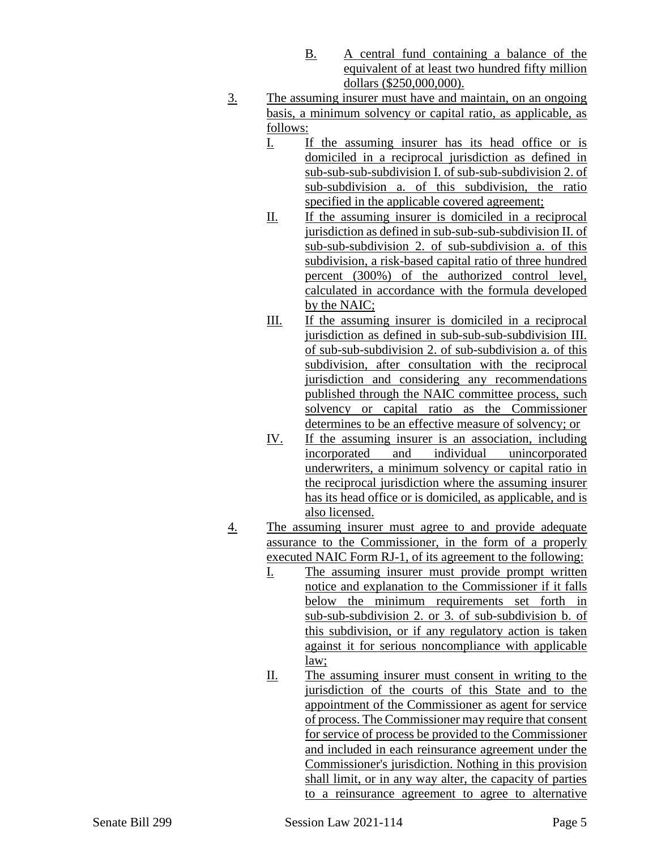- B. A central fund containing a balance of the equivalent of at least two hundred fifty million dollars (\$250,000,000).
- 3. The assuming insurer must have and maintain, on an ongoing basis, a minimum solvency or capital ratio, as applicable, as follows:
	- I. If the assuming insurer has its head office or is domiciled in a reciprocal jurisdiction as defined in sub-sub-sub-subdivision I. of sub-sub-subdivision 2. of sub-subdivision a. of this subdivision, the ratio specified in the applicable covered agreement;
	- II. If the assuming insurer is domiciled in a reciprocal jurisdiction as defined in sub-sub-sub-subdivision II. of sub-sub-subdivision 2. of sub-subdivision a. of this subdivision, a risk-based capital ratio of three hundred percent (300%) of the authorized control level, calculated in accordance with the formula developed by the NAIC;
	- III. If the assuming insurer is domiciled in a reciprocal jurisdiction as defined in sub-sub-sub-subdivision III. of sub-sub-subdivision 2. of sub-subdivision a. of this subdivision, after consultation with the reciprocal jurisdiction and considering any recommendations published through the NAIC committee process, such solvency or capital ratio as the Commissioner determines to be an effective measure of solvency; or
	- IV. If the assuming insurer is an association, including incorporated and individual unincorporated underwriters, a minimum solvency or capital ratio in the reciprocal jurisdiction where the assuming insurer has its head office or is domiciled, as applicable, and is also licensed.
- 4. The assuming insurer must agree to and provide adequate assurance to the Commissioner, in the form of a properly executed NAIC Form RJ-1, of its agreement to the following:
	- I. The assuming insurer must provide prompt written notice and explanation to the Commissioner if it falls below the minimum requirements set forth in sub-sub-subdivision 2. or 3. of sub-subdivision b. of this subdivision, or if any regulatory action is taken against it for serious noncompliance with applicable law;
	- II. The assuming insurer must consent in writing to the jurisdiction of the courts of this State and to the appointment of the Commissioner as agent for service of process. The Commissioner may require that consent for service of process be provided to the Commissioner and included in each reinsurance agreement under the Commissioner's jurisdiction. Nothing in this provision shall limit, or in any way alter, the capacity of parties to a reinsurance agreement to agree to alternative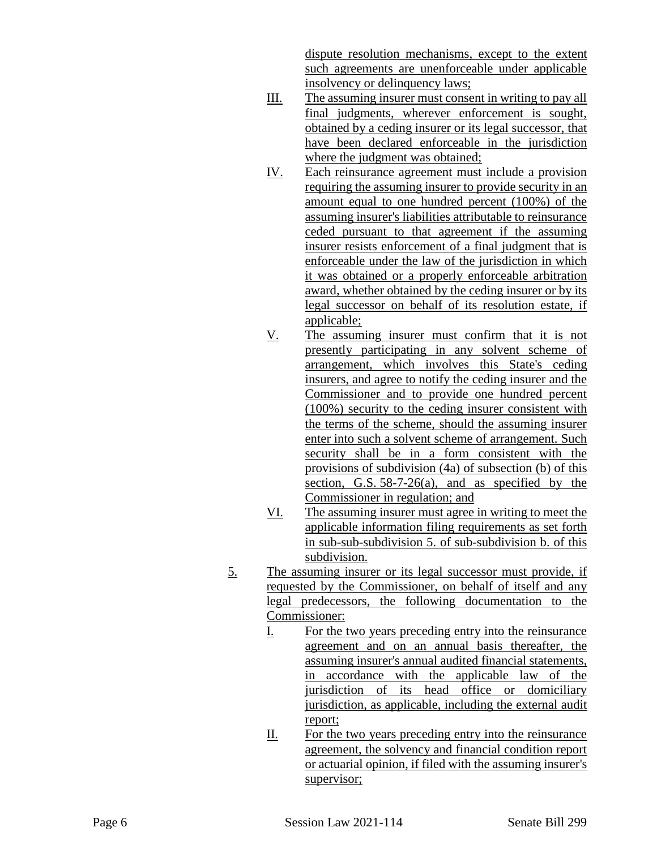dispute resolution mechanisms, except to the extent such agreements are unenforceable under applicable insolvency or delinquency laws;

- III. The assuming insurer must consent in writing to pay all final judgments, wherever enforcement is sought, obtained by a ceding insurer or its legal successor, that have been declared enforceable in the jurisdiction where the judgment was obtained;
- IV. Each reinsurance agreement must include a provision requiring the assuming insurer to provide security in an amount equal to one hundred percent (100%) of the assuming insurer's liabilities attributable to reinsurance ceded pursuant to that agreement if the assuming insurer resists enforcement of a final judgment that is enforceable under the law of the jurisdiction in which it was obtained or a properly enforceable arbitration award, whether obtained by the ceding insurer or by its legal successor on behalf of its resolution estate, if applicable;
- V. The assuming insurer must confirm that it is not presently participating in any solvent scheme of arrangement, which involves this State's ceding insurers, and agree to notify the ceding insurer and the Commissioner and to provide one hundred percent (100%) security to the ceding insurer consistent with the terms of the scheme, should the assuming insurer enter into such a solvent scheme of arrangement. Such security shall be in a form consistent with the provisions of subdivision (4a) of subsection (b) of this section, G.S.  $58-7-26$ (a), and as specified by the Commissioner in regulation; and
- VI. The assuming insurer must agree in writing to meet the applicable information filing requirements as set forth in sub-sub-subdivision 5. of sub-subdivision b. of this subdivision.
- 5. The assuming insurer or its legal successor must provide, if requested by the Commissioner, on behalf of itself and any legal predecessors, the following documentation to the Commissioner:
	- I. For the two years preceding entry into the reinsurance agreement and on an annual basis thereafter, the assuming insurer's annual audited financial statements, in accordance with the applicable law of the jurisdiction of its head office or domiciliary jurisdiction, as applicable, including the external audit report;
	- II. For the two years preceding entry into the reinsurance agreement, the solvency and financial condition report or actuarial opinion, if filed with the assuming insurer's supervisor;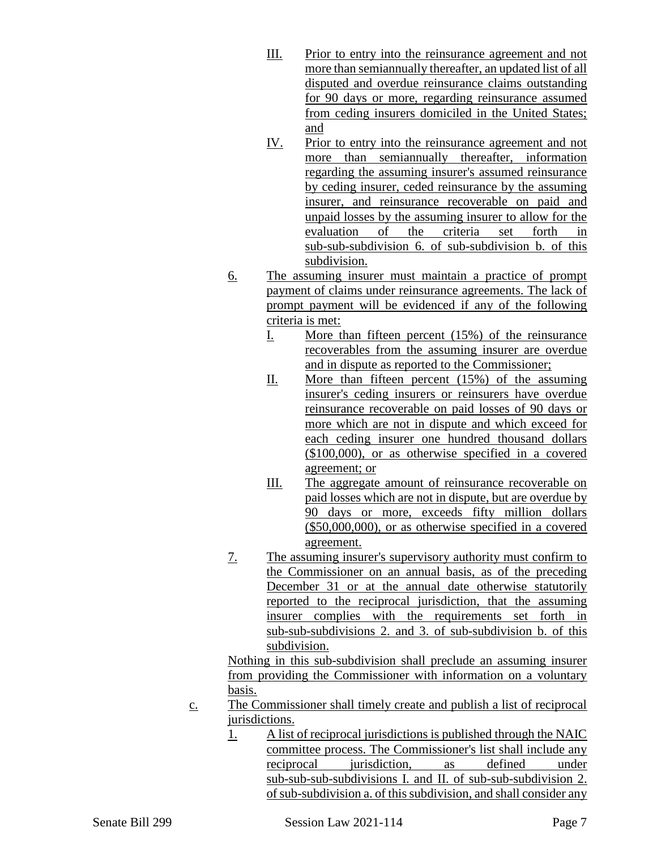- III. Prior to entry into the reinsurance agreement and not more than semiannually thereafter, an updated list of all disputed and overdue reinsurance claims outstanding for 90 days or more, regarding reinsurance assumed from ceding insurers domiciled in the United States; and
- IV. Prior to entry into the reinsurance agreement and not more than semiannually thereafter, information regarding the assuming insurer's assumed reinsurance by ceding insurer, ceded reinsurance by the assuming insurer, and reinsurance recoverable on paid and unpaid losses by the assuming insurer to allow for the evaluation of the criteria set forth in sub-sub-subdivision 6. of sub-subdivision b. of this subdivision.
- 6. The assuming insurer must maintain a practice of prompt payment of claims under reinsurance agreements. The lack of prompt payment will be evidenced if any of the following criteria is met:
	- I. More than fifteen percent (15%) of the reinsurance recoverables from the assuming insurer are overdue and in dispute as reported to the Commissioner;
	- II. More than fifteen percent (15%) of the assuming insurer's ceding insurers or reinsurers have overdue reinsurance recoverable on paid losses of 90 days or more which are not in dispute and which exceed for each ceding insurer one hundred thousand dollars (\$100,000), or as otherwise specified in a covered agreement; or
	- III. The aggregate amount of reinsurance recoverable on paid losses which are not in dispute, but are overdue by 90 days or more, exceeds fifty million dollars (\$50,000,000), or as otherwise specified in a covered agreement.
- 7. The assuming insurer's supervisory authority must confirm to the Commissioner on an annual basis, as of the preceding December 31 or at the annual date otherwise statutorily reported to the reciprocal jurisdiction, that the assuming insurer complies with the requirements set forth in sub-sub-subdivisions 2. and 3. of sub-subdivision b. of this subdivision.

Nothing in this sub-subdivision shall preclude an assuming insurer from providing the Commissioner with information on a voluntary basis.

- c. The Commissioner shall timely create and publish a list of reciprocal jurisdictions.
	- 1. A list of reciprocal jurisdictions is published through the NAIC committee process. The Commissioner's list shall include any reciprocal iurisdiction, as defined under sub-sub-sub-subdivisions I. and II. of sub-sub-subdivision 2. of sub-subdivision a. of this subdivision, and shall consider any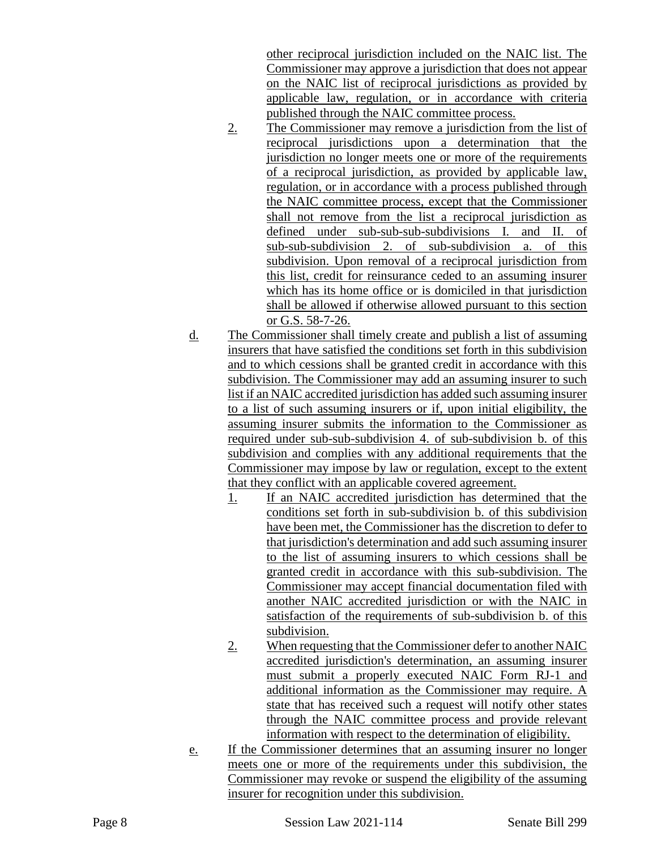other reciprocal jurisdiction included on the NAIC list. The Commissioner may approve a jurisdiction that does not appear on the NAIC list of reciprocal jurisdictions as provided by applicable law, regulation, or in accordance with criteria published through the NAIC committee process.

- 2. The Commissioner may remove a jurisdiction from the list of reciprocal jurisdictions upon a determination that the jurisdiction no longer meets one or more of the requirements of a reciprocal jurisdiction, as provided by applicable law, regulation, or in accordance with a process published through the NAIC committee process, except that the Commissioner shall not remove from the list a reciprocal jurisdiction as defined under sub-sub-sub-subdivisions I. and II. of sub-sub-subdivision 2. of sub-subdivision a. of this subdivision. Upon removal of a reciprocal jurisdiction from this list, credit for reinsurance ceded to an assuming insurer which has its home office or is domiciled in that jurisdiction shall be allowed if otherwise allowed pursuant to this section or G.S. 58-7-26.
- d. The Commissioner shall timely create and publish a list of assuming insurers that have satisfied the conditions set forth in this subdivision and to which cessions shall be granted credit in accordance with this subdivision. The Commissioner may add an assuming insurer to such list if an NAIC accredited jurisdiction has added such assuming insurer to a list of such assuming insurers or if, upon initial eligibility, the assuming insurer submits the information to the Commissioner as required under sub-sub-subdivision 4. of sub-subdivision b. of this subdivision and complies with any additional requirements that the Commissioner may impose by law or regulation, except to the extent that they conflict with an applicable covered agreement.
	- 1. If an NAIC accredited jurisdiction has determined that the conditions set forth in sub-subdivision b. of this subdivision have been met, the Commissioner has the discretion to defer to that jurisdiction's determination and add such assuming insurer to the list of assuming insurers to which cessions shall be granted credit in accordance with this sub-subdivision. The Commissioner may accept financial documentation filed with another NAIC accredited jurisdiction or with the NAIC in satisfaction of the requirements of sub-subdivision b. of this subdivision.
	- 2. When requesting that the Commissioner defer to another NAIC accredited jurisdiction's determination, an assuming insurer must submit a properly executed NAIC Form RJ-1 and additional information as the Commissioner may require. A state that has received such a request will notify other states through the NAIC committee process and provide relevant information with respect to the determination of eligibility.
- e. If the Commissioner determines that an assuming insurer no longer meets one or more of the requirements under this subdivision, the Commissioner may revoke or suspend the eligibility of the assuming insurer for recognition under this subdivision.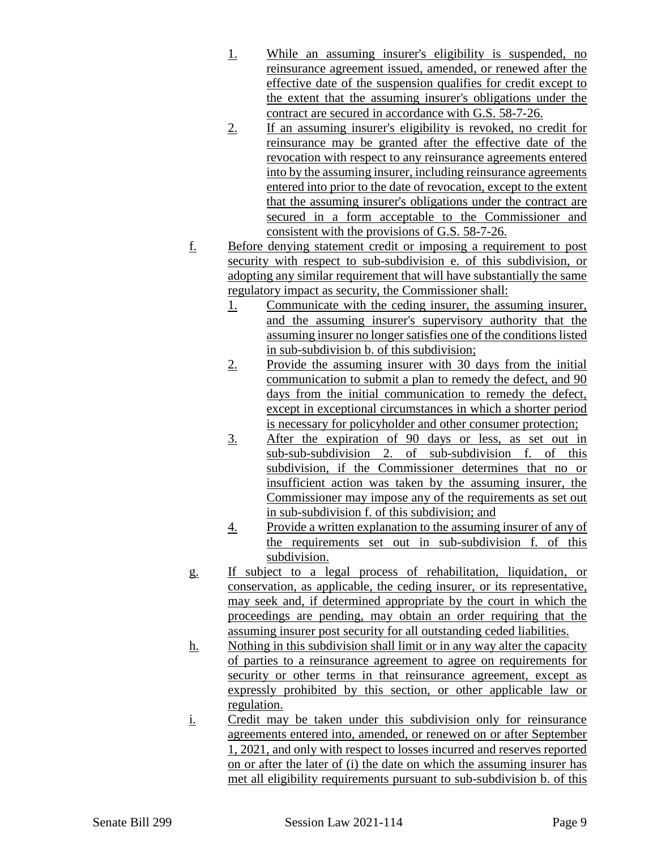- 1. While an assuming insurer's eligibility is suspended, no reinsurance agreement issued, amended, or renewed after the effective date of the suspension qualifies for credit except to the extent that the assuming insurer's obligations under the contract are secured in accordance with G.S. 58-7-26.
- 2. If an assuming insurer's eligibility is revoked, no credit for reinsurance may be granted after the effective date of the revocation with respect to any reinsurance agreements entered into by the assuming insurer, including reinsurance agreements entered into prior to the date of revocation, except to the extent that the assuming insurer's obligations under the contract are secured in a form acceptable to the Commissioner and consistent with the provisions of G.S. 58-7-26.
- f. Before denying statement credit or imposing a requirement to post security with respect to sub-subdivision e. of this subdivision, or adopting any similar requirement that will have substantially the same regulatory impact as security, the Commissioner shall:
	- 1. Communicate with the ceding insurer, the assuming insurer, and the assuming insurer's supervisory authority that the assuming insurer no longer satisfies one of the conditions listed in sub-subdivision b. of this subdivision;
	- 2. Provide the assuming insurer with 30 days from the initial communication to submit a plan to remedy the defect, and 90 days from the initial communication to remedy the defect, except in exceptional circumstances in which a shorter period is necessary for policyholder and other consumer protection;
	- 3. After the expiration of 90 days or less, as set out in sub-sub-subdivision 2. of sub-subdivision f. of this subdivision, if the Commissioner determines that no or insufficient action was taken by the assuming insurer, the Commissioner may impose any of the requirements as set out in sub-subdivision f. of this subdivision; and
	- 4. Provide a written explanation to the assuming insurer of any of the requirements set out in sub-subdivision f. of this subdivision.
- g. If subject to a legal process of rehabilitation, liquidation, or conservation, as applicable, the ceding insurer, or its representative, may seek and, if determined appropriate by the court in which the proceedings are pending, may obtain an order requiring that the assuming insurer post security for all outstanding ceded liabilities.
- h. Nothing in this subdivision shall limit or in any way alter the capacity of parties to a reinsurance agreement to agree on requirements for security or other terms in that reinsurance agreement, except as expressly prohibited by this section, or other applicable law or regulation.
- i. Credit may be taken under this subdivision only for reinsurance agreements entered into, amended, or renewed on or after September 1, 2021, and only with respect to losses incurred and reserves reported on or after the later of (i) the date on which the assuming insurer has met all eligibility requirements pursuant to sub-subdivision b. of this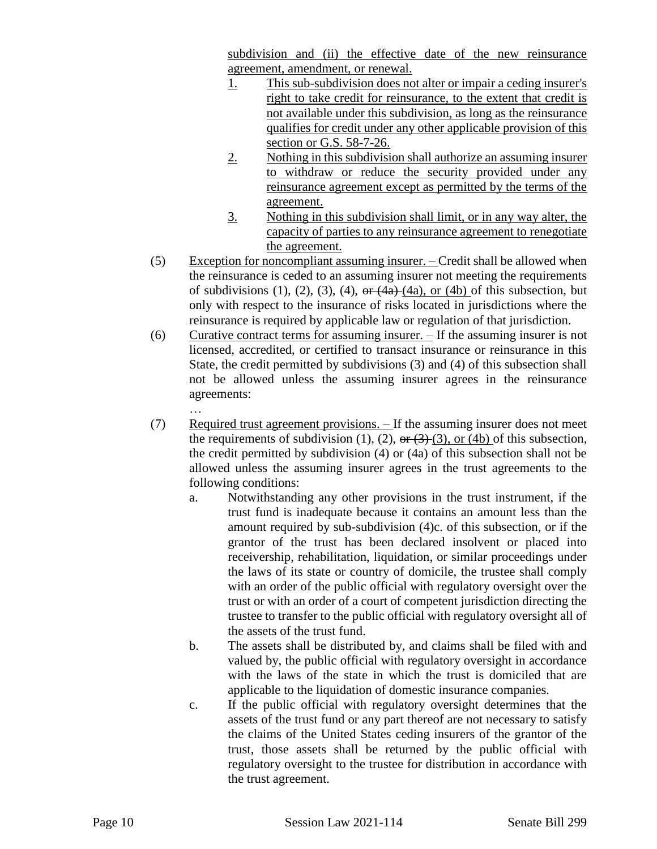subdivision and (ii) the effective date of the new reinsurance agreement, amendment, or renewal.

- 1. This sub-subdivision does not alter or impair a ceding insurer's right to take credit for reinsurance, to the extent that credit is not available under this subdivision, as long as the reinsurance qualifies for credit under any other applicable provision of this section or G.S. 58-7-26.
- 2. Nothing in this subdivision shall authorize an assuming insurer to withdraw or reduce the security provided under any reinsurance agreement except as permitted by the terms of the agreement.
- 3. Nothing in this subdivision shall limit, or in any way alter, the capacity of parties to any reinsurance agreement to renegotiate the agreement.
- (5) Exception for noncompliant assuming insurer. Credit shall be allowed when the reinsurance is ceded to an assuming insurer not meeting the requirements of subdivisions  $(1)$ ,  $(2)$ ,  $(3)$ ,  $(4)$ ,  $\theta$   $\theta$ ,  $(4a)$ ,  $(4a)$ ,  $(4b)$  of this subsection, but only with respect to the insurance of risks located in jurisdictions where the reinsurance is required by applicable law or regulation of that jurisdiction.
- (6) Curative contract terms for assuming insurer.  $-$  If the assuming insurer is not licensed, accredited, or certified to transact insurance or reinsurance in this State, the credit permitted by subdivisions (3) and (4) of this subsection shall not be allowed unless the assuming insurer agrees in the reinsurance agreements:
	- …
- (7) Required trust agreement provisions. If the assuming insurer does not meet the requirements of subdivision (1), (2),  $\Theta$ r (3) (3), or (4b) of this subsection, the credit permitted by subdivision (4) or (4a) of this subsection shall not be allowed unless the assuming insurer agrees in the trust agreements to the following conditions:
	- a. Notwithstanding any other provisions in the trust instrument, if the trust fund is inadequate because it contains an amount less than the amount required by sub-subdivision (4)c. of this subsection, or if the grantor of the trust has been declared insolvent or placed into receivership, rehabilitation, liquidation, or similar proceedings under the laws of its state or country of domicile, the trustee shall comply with an order of the public official with regulatory oversight over the trust or with an order of a court of competent jurisdiction directing the trustee to transfer to the public official with regulatory oversight all of the assets of the trust fund.
	- b. The assets shall be distributed by, and claims shall be filed with and valued by, the public official with regulatory oversight in accordance with the laws of the state in which the trust is domiciled that are applicable to the liquidation of domestic insurance companies.
	- c. If the public official with regulatory oversight determines that the assets of the trust fund or any part thereof are not necessary to satisfy the claims of the United States ceding insurers of the grantor of the trust, those assets shall be returned by the public official with regulatory oversight to the trustee for distribution in accordance with the trust agreement.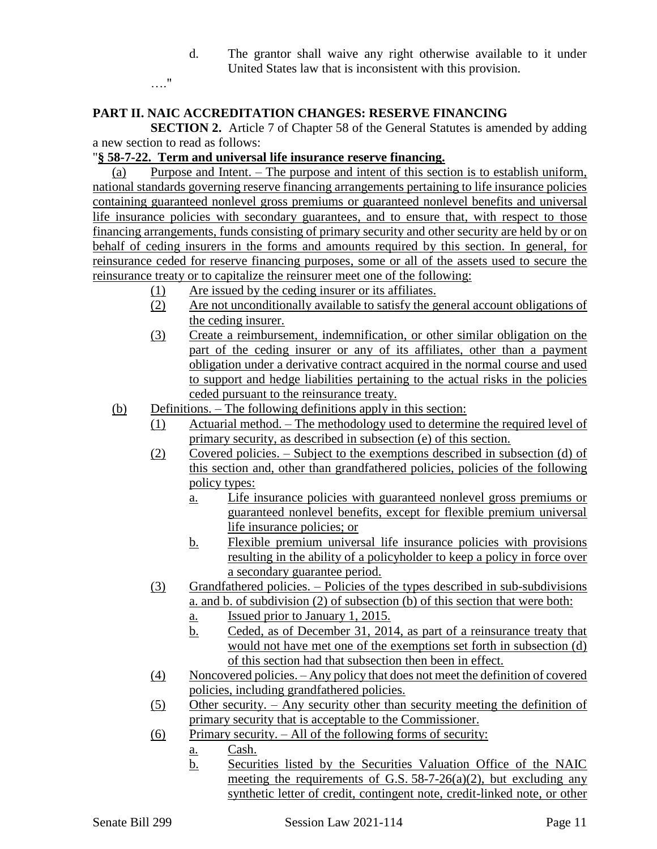d. The grantor shall waive any right otherwise available to it under United States law that is inconsistent with this provision.

…."

### **PART II. NAIC ACCREDITATION CHANGES: RESERVE FINANCING**

**SECTION 2.** Article 7 of Chapter 58 of the General Statutes is amended by adding a new section to read as follows:

### "**§ 58-7-22. Term and universal life insurance reserve financing.**

(a) Purpose and Intent. – The purpose and intent of this section is to establish uniform, national standards governing reserve financing arrangements pertaining to life insurance policies containing guaranteed nonlevel gross premiums or guaranteed nonlevel benefits and universal life insurance policies with secondary guarantees, and to ensure that, with respect to those financing arrangements, funds consisting of primary security and other security are held by or on behalf of ceding insurers in the forms and amounts required by this section. In general, for reinsurance ceded for reserve financing purposes, some or all of the assets used to secure the reinsurance treaty or to capitalize the reinsurer meet one of the following:

- (1) Are issued by the ceding insurer or its affiliates.
- (2) Are not unconditionally available to satisfy the general account obligations of the ceding insurer.
- (3) Create a reimbursement, indemnification, or other similar obligation on the part of the ceding insurer or any of its affiliates, other than a payment obligation under a derivative contract acquired in the normal course and used to support and hedge liabilities pertaining to the actual risks in the policies ceded pursuant to the reinsurance treaty.
- (b) Definitions. The following definitions apply in this section:
	- (1) Actuarial method. The methodology used to determine the required level of primary security, as described in subsection (e) of this section.
	- (2) Covered policies. Subject to the exemptions described in subsection (d) of this section and, other than grandfathered policies, policies of the following policy types:
		- a. Life insurance policies with guaranteed nonlevel gross premiums or guaranteed nonlevel benefits, except for flexible premium universal life insurance policies; or
		- b. Flexible premium universal life insurance policies with provisions resulting in the ability of a policyholder to keep a policy in force over a secondary guarantee period.
	- (3) Grandfathered policies. Policies of the types described in sub-subdivisions a. and b. of subdivision (2) of subsection (b) of this section that were both:
		- a. Issued prior to January 1, 2015.
		- b. Ceded, as of December 31, 2014, as part of a reinsurance treaty that would not have met one of the exemptions set forth in subsection (d) of this section had that subsection then been in effect.
	- (4) Noncovered policies. Any policy that does not meet the definition of covered policies, including grandfathered policies.
	- (5) Other security. Any security other than security meeting the definition of primary security that is acceptable to the Commissioner.
	- (6) Primary security.  $-$  All of the following forms of security:
		- a. Cash.
		- b. Securities listed by the Securities Valuation Office of the NAIC meeting the requirements of G.S.  $58-7-26(a)(2)$ , but excluding any synthetic letter of credit, contingent note, credit-linked note, or other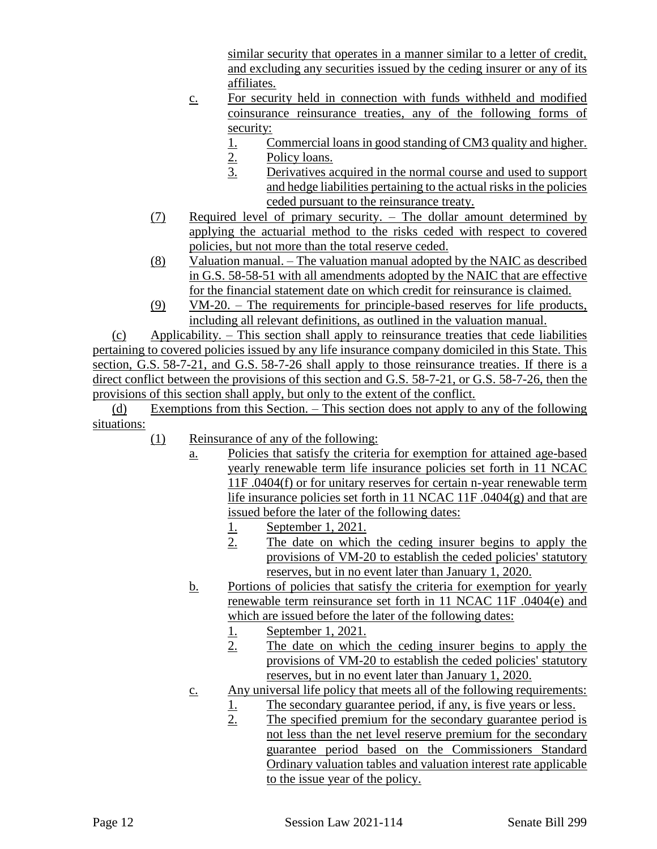similar security that operates in a manner similar to a letter of credit, and excluding any securities issued by the ceding insurer or any of its affiliates.

- c. For security held in connection with funds withheld and modified coinsurance reinsurance treaties, any of the following forms of security:
	- 1. Commercial loans in good standing of CM3 quality and higher.
	- 2. Policy loans.
	- 3. Derivatives acquired in the normal course and used to support and hedge liabilities pertaining to the actual risks in the policies ceded pursuant to the reinsurance treaty.
- (7) Required level of primary security. The dollar amount determined by applying the actuarial method to the risks ceded with respect to covered policies, but not more than the total reserve ceded.
- (8) Valuation manual. The valuation manual adopted by the NAIC as described in G.S. 58-58-51 with all amendments adopted by the NAIC that are effective for the financial statement date on which credit for reinsurance is claimed.
- (9) VM-20. The requirements for principle-based reserves for life products, including all relevant definitions, as outlined in the valuation manual.

(c) Applicability. – This section shall apply to reinsurance treaties that cede liabilities pertaining to covered policies issued by any life insurance company domiciled in this State. This section, G.S. 58-7-21, and G.S. 58-7-26 shall apply to those reinsurance treaties. If there is a direct conflict between the provisions of this section and G.S. 58-7-21, or G.S. 58-7-26, then the provisions of this section shall apply, but only to the extent of the conflict.

(d) Exemptions from this Section. – This section does not apply to any of the following situations:

- (1) Reinsurance of any of the following:
	- a. Policies that satisfy the criteria for exemption for attained age-based yearly renewable term life insurance policies set forth in 11 NCAC 11F .0404(f) or for unitary reserves for certain n-year renewable term life insurance policies set forth in 11 NCAC 11F .0404(g) and that are issued before the later of the following dates:
		- 1. September 1, 2021.
		- 2. The date on which the ceding insurer begins to apply the provisions of VM-20 to establish the ceded policies' statutory reserves, but in no event later than January 1, 2020.
	- b. Portions of policies that satisfy the criteria for exemption for yearly renewable term reinsurance set forth in 11 NCAC 11F .0404(e) and which are issued before the later of the following dates:
		-
		- 1. September 1, 2021.<br>2. The date on which The date on which the ceding insurer begins to apply the provisions of VM-20 to establish the ceded policies' statutory reserves, but in no event later than January 1, 2020.
	- c. Any universal life policy that meets all of the following requirements:
		- 1. The secondary guarantee period, if any, is five years or less.<br>2. The specified premium for the secondary guarantee period
		- The specified premium for the secondary guarantee period is not less than the net level reserve premium for the secondary guarantee period based on the Commissioners Standard Ordinary valuation tables and valuation interest rate applicable to the issue year of the policy.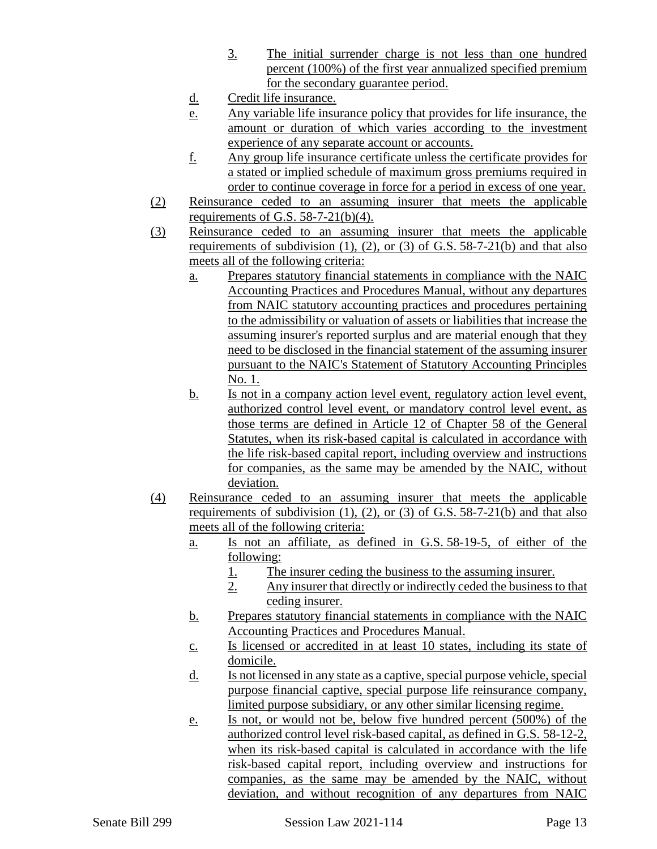- 3. The initial surrender charge is not less than one hundred percent (100%) of the first year annualized specified premium for the secondary guarantee period.
- d. Credit life insurance.
- e. Any variable life insurance policy that provides for life insurance, the amount or duration of which varies according to the investment experience of any separate account or accounts.
- f. Any group life insurance certificate unless the certificate provides for a stated or implied schedule of maximum gross premiums required in order to continue coverage in force for a period in excess of one year.
- (2) Reinsurance ceded to an assuming insurer that meets the applicable requirements of G.S.  $58-7-21(b)(4)$ .
- (3) Reinsurance ceded to an assuming insurer that meets the applicable requirements of subdivision  $(1)$ ,  $(2)$ , or  $(3)$  of G.S. 58-7-21(b) and that also meets all of the following criteria:
	- a. Prepares statutory financial statements in compliance with the NAIC Accounting Practices and Procedures Manual, without any departures from NAIC statutory accounting practices and procedures pertaining to the admissibility or valuation of assets or liabilities that increase the assuming insurer's reported surplus and are material enough that they need to be disclosed in the financial statement of the assuming insurer pursuant to the NAIC's Statement of Statutory Accounting Principles No. 1.
	- b. Is not in a company action level event, regulatory action level event, authorized control level event, or mandatory control level event, as those terms are defined in Article 12 of Chapter 58 of the General Statutes, when its risk-based capital is calculated in accordance with the life risk-based capital report, including overview and instructions for companies, as the same may be amended by the NAIC, without deviation.
- (4) Reinsurance ceded to an assuming insurer that meets the applicable requirements of subdivision  $(1)$ ,  $(2)$ , or  $(3)$  of G.S. 58-7-21 $(b)$  and that also meets all of the following criteria:
	- a. Is not an affiliate, as defined in G.S. 58-19-5, of either of the following:
		- 1. The insurer ceding the business to the assuming insurer.
		- 2. Any insurer that directly or indirectly ceded the business to that ceding insurer.
	- b. Prepares statutory financial statements in compliance with the NAIC Accounting Practices and Procedures Manual.
	- c. Is licensed or accredited in at least 10 states, including its state of domicile.
	- d. Is not licensed in any state as a captive, special purpose vehicle, special purpose financial captive, special purpose life reinsurance company, limited purpose subsidiary, or any other similar licensing regime.
	- e. Is not, or would not be, below five hundred percent (500%) of the authorized control level risk-based capital, as defined in G.S. 58-12-2, when its risk-based capital is calculated in accordance with the life risk-based capital report, including overview and instructions for companies, as the same may be amended by the NAIC, without deviation, and without recognition of any departures from NAIC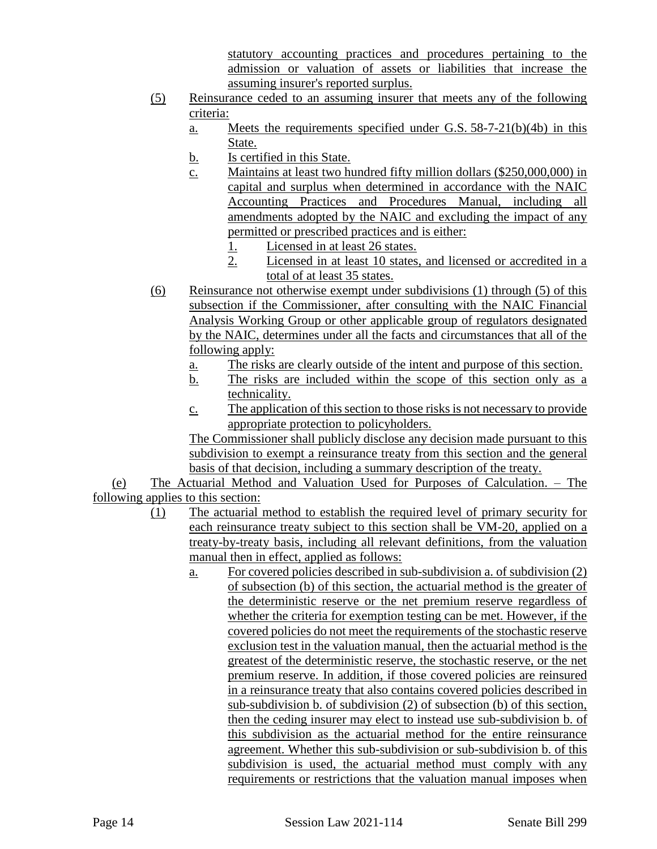statutory accounting practices and procedures pertaining to the admission or valuation of assets or liabilities that increase the assuming insurer's reported surplus.

- (5) Reinsurance ceded to an assuming insurer that meets any of the following criteria:
	- a. Meets the requirements specified under G.S. 58-7-21(b)(4b) in this State.
	- b. Is certified in this State.
	- c. Maintains at least two hundred fifty million dollars (\$250,000,000) in capital and surplus when determined in accordance with the NAIC Accounting Practices and Procedures Manual, including all amendments adopted by the NAIC and excluding the impact of any permitted or prescribed practices and is either:
		- 1. Licensed in at least 26 states.
		- 2. Licensed in at least 10 states, and licensed or accredited in a total of at least 35 states.
- (6) Reinsurance not otherwise exempt under subdivisions (1) through (5) of this subsection if the Commissioner, after consulting with the NAIC Financial Analysis Working Group or other applicable group of regulators designated by the NAIC, determines under all the facts and circumstances that all of the following apply:
	- a. The risks are clearly outside of the intent and purpose of this section.
	- b. The risks are included within the scope of this section only as a technicality.
	- c. The application of this section to those risks is not necessary to provide appropriate protection to policyholders.

The Commissioner shall publicly disclose any decision made pursuant to this subdivision to exempt a reinsurance treaty from this section and the general basis of that decision, including a summary description of the treaty.

(e) The Actuarial Method and Valuation Used for Purposes of Calculation. – The following applies to this section:

- (1) The actuarial method to establish the required level of primary security for each reinsurance treaty subject to this section shall be VM-20, applied on a treaty-by-treaty basis, including all relevant definitions, from the valuation manual then in effect, applied as follows:
	- a. For covered policies described in sub-subdivision a. of subdivision (2) of subsection (b) of this section, the actuarial method is the greater of the deterministic reserve or the net premium reserve regardless of whether the criteria for exemption testing can be met. However, if the covered policies do not meet the requirements of the stochastic reserve exclusion test in the valuation manual, then the actuarial method is the greatest of the deterministic reserve, the stochastic reserve, or the net premium reserve. In addition, if those covered policies are reinsured in a reinsurance treaty that also contains covered policies described in sub-subdivision b. of subdivision (2) of subsection (b) of this section, then the ceding insurer may elect to instead use sub-subdivision b. of this subdivision as the actuarial method for the entire reinsurance agreement. Whether this sub-subdivision or sub-subdivision b. of this subdivision is used, the actuarial method must comply with any requirements or restrictions that the valuation manual imposes when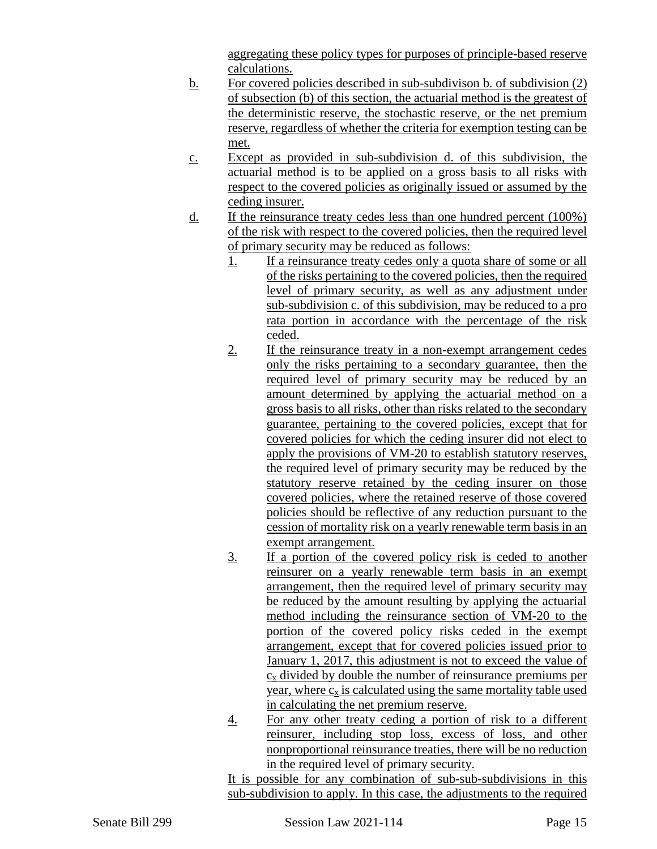aggregating these policy types for purposes of principle-based reserve calculations.

- b. For covered policies described in sub-subdivison b. of subdivision (2) of subsection (b) of this section, the actuarial method is the greatest of the deterministic reserve, the stochastic reserve, or the net premium reserve, regardless of whether the criteria for exemption testing can be met.
- c. Except as provided in sub-subdivision d. of this subdivision, the actuarial method is to be applied on a gross basis to all risks with respect to the covered policies as originally issued or assumed by the ceding insurer.
- d. If the reinsurance treaty cedes less than one hundred percent (100%) of the risk with respect to the covered policies, then the required level of primary security may be reduced as follows:
	- 1. If a reinsurance treaty cedes only a quota share of some or all of the risks pertaining to the covered policies, then the required level of primary security, as well as any adjustment under sub-subdivision c. of this subdivision, may be reduced to a pro rata portion in accordance with the percentage of the risk ceded.
	- 2. If the reinsurance treaty in a non-exempt arrangement cedes only the risks pertaining to a secondary guarantee, then the required level of primary security may be reduced by an amount determined by applying the actuarial method on a gross basis to all risks, other than risks related to the secondary guarantee, pertaining to the covered policies, except that for covered policies for which the ceding insurer did not elect to apply the provisions of VM-20 to establish statutory reserves, the required level of primary security may be reduced by the statutory reserve retained by the ceding insurer on those covered policies, where the retained reserve of those covered policies should be reflective of any reduction pursuant to the cession of mortality risk on a yearly renewable term basis in an exempt arrangement.
	- 3. If a portion of the covered policy risk is ceded to another reinsurer on a yearly renewable term basis in an exempt arrangement, then the required level of primary security may be reduced by the amount resulting by applying the actuarial method including the reinsurance section of VM-20 to the portion of the covered policy risks ceded in the exempt arrangement, except that for covered policies issued prior to January 1, 2017, this adjustment is not to exceed the value of  $c<sub>x</sub>$  divided by double the number of reinsurance premiums per year, where  $c_x$  is calculated using the same mortality table used in calculating the net premium reserve.
	- 4. For any other treaty ceding a portion of risk to a different reinsurer, including stop loss, excess of loss, and other nonproportional reinsurance treaties, there will be no reduction in the required level of primary security.

It is possible for any combination of sub-sub-subdivisions in this sub-subdivision to apply. In this case, the adjustments to the required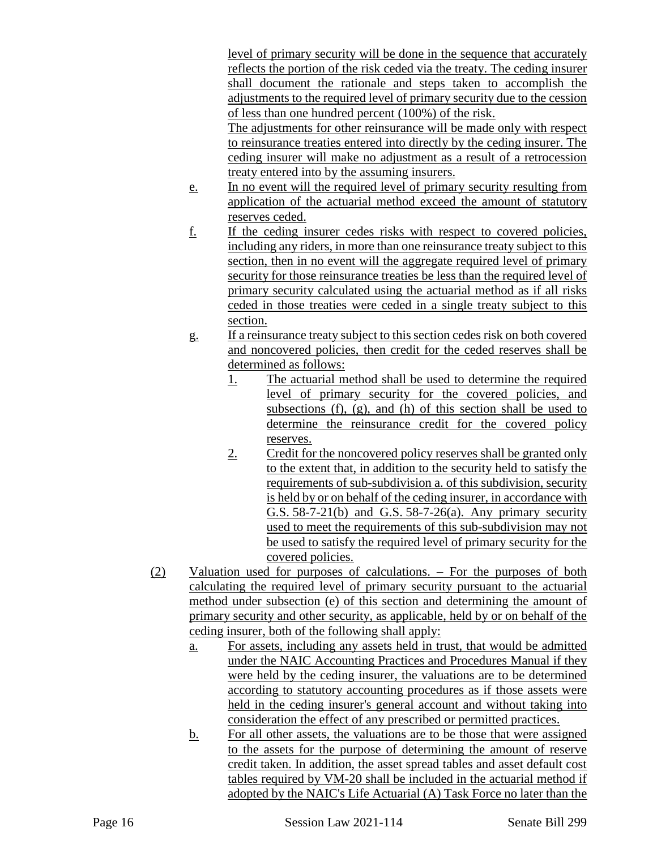level of primary security will be done in the sequence that accurately reflects the portion of the risk ceded via the treaty. The ceding insurer shall document the rationale and steps taken to accomplish the adjustments to the required level of primary security due to the cession of less than one hundred percent (100%) of the risk.

The adjustments for other reinsurance will be made only with respect to reinsurance treaties entered into directly by the ceding insurer. The ceding insurer will make no adjustment as a result of a retrocession treaty entered into by the assuming insurers.

- e. In no event will the required level of primary security resulting from application of the actuarial method exceed the amount of statutory reserves ceded.
- f. If the ceding insurer cedes risks with respect to covered policies, including any riders, in more than one reinsurance treaty subject to this section, then in no event will the aggregate required level of primary security for those reinsurance treaties be less than the required level of primary security calculated using the actuarial method as if all risks ceded in those treaties were ceded in a single treaty subject to this section.
- g. If a reinsurance treaty subject to this section cedes risk on both covered and noncovered policies, then credit for the ceded reserves shall be determined as follows:
	- 1. The actuarial method shall be used to determine the required level of primary security for the covered policies, and subsections  $(f)$ ,  $(g)$ , and  $(h)$  of this section shall be used to determine the reinsurance credit for the covered policy reserves.
	- 2. Credit for the noncovered policy reserves shall be granted only to the extent that, in addition to the security held to satisfy the requirements of sub-subdivision a. of this subdivision, security is held by or on behalf of the ceding insurer, in accordance with G.S. 58-7-21(b) and G.S. 58-7-26(a). Any primary security used to meet the requirements of this sub-subdivision may not be used to satisfy the required level of primary security for the covered policies.
- (2) Valuation used for purposes of calculations. For the purposes of both calculating the required level of primary security pursuant to the actuarial method under subsection (e) of this section and determining the amount of primary security and other security, as applicable, held by or on behalf of the ceding insurer, both of the following shall apply:
	- a. For assets, including any assets held in trust, that would be admitted under the NAIC Accounting Practices and Procedures Manual if they were held by the ceding insurer, the valuations are to be determined according to statutory accounting procedures as if those assets were held in the ceding insurer's general account and without taking into consideration the effect of any prescribed or permitted practices.
	- b. For all other assets, the valuations are to be those that were assigned to the assets for the purpose of determining the amount of reserve credit taken. In addition, the asset spread tables and asset default cost tables required by VM-20 shall be included in the actuarial method if adopted by the NAIC's Life Actuarial (A) Task Force no later than the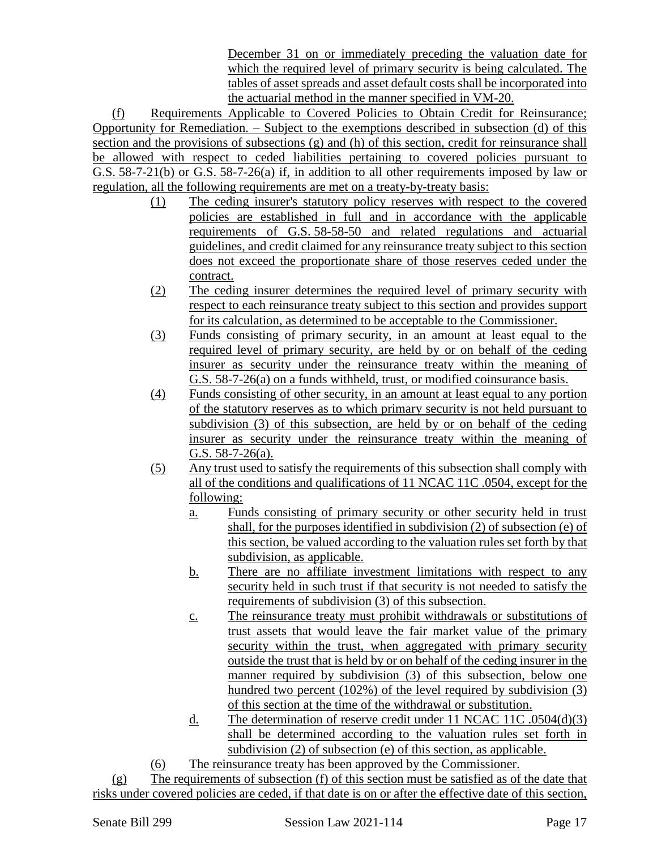December 31 on or immediately preceding the valuation date for which the required level of primary security is being calculated. The tables of asset spreads and asset default costs shall be incorporated into the actuarial method in the manner specified in VM-20.

(f) Requirements Applicable to Covered Policies to Obtain Credit for Reinsurance; Opportunity for Remediation. – Subject to the exemptions described in subsection (d) of this section and the provisions of subsections (g) and (h) of this section, credit for reinsurance shall be allowed with respect to ceded liabilities pertaining to covered policies pursuant to G.S. 58-7-21(b) or G.S. 58-7-26(a) if, in addition to all other requirements imposed by law or regulation, all the following requirements are met on a treaty-by-treaty basis:

- (1) The ceding insurer's statutory policy reserves with respect to the covered policies are established in full and in accordance with the applicable requirements of G.S. 58-58-50 and related regulations and actuarial guidelines, and credit claimed for any reinsurance treaty subject to this section does not exceed the proportionate share of those reserves ceded under the contract.
- (2) The ceding insurer determines the required level of primary security with respect to each reinsurance treaty subject to this section and provides support for its calculation, as determined to be acceptable to the Commissioner.
- (3) Funds consisting of primary security, in an amount at least equal to the required level of primary security, are held by or on behalf of the ceding insurer as security under the reinsurance treaty within the meaning of G.S. 58-7-26(a) on a funds withheld, trust, or modified coinsurance basis.
- (4) Funds consisting of other security, in an amount at least equal to any portion of the statutory reserves as to which primary security is not held pursuant to subdivision (3) of this subsection, are held by or on behalf of the ceding insurer as security under the reinsurance treaty within the meaning of G.S.  $58-7-26(a)$ .
- (5) Any trust used to satisfy the requirements of this subsection shall comply with all of the conditions and qualifications of 11 NCAC 11C .0504, except for the following:
	- a. Funds consisting of primary security or other security held in trust shall, for the purposes identified in subdivision (2) of subsection (e) of this section, be valued according to the valuation rules set forth by that subdivision, as applicable.
	- b. There are no affiliate investment limitations with respect to any security held in such trust if that security is not needed to satisfy the requirements of subdivision (3) of this subsection.
	- c. The reinsurance treaty must prohibit withdrawals or substitutions of trust assets that would leave the fair market value of the primary security within the trust, when aggregated with primary security outside the trust that is held by or on behalf of the ceding insurer in the manner required by subdivision (3) of this subsection, below one hundred two percent (102%) of the level required by subdivision (3) of this section at the time of the withdrawal or substitution.
	- d. The determination of reserve credit under 11 NCAC 11C .0504(d)(3) shall be determined according to the valuation rules set forth in subdivision (2) of subsection (e) of this section, as applicable.
- (6) The reinsurance treaty has been approved by the Commissioner.

 $(g)$  The requirements of subsection (f) of this section must be satisfied as of the date that risks under covered policies are ceded, if that date is on or after the effective date of this section,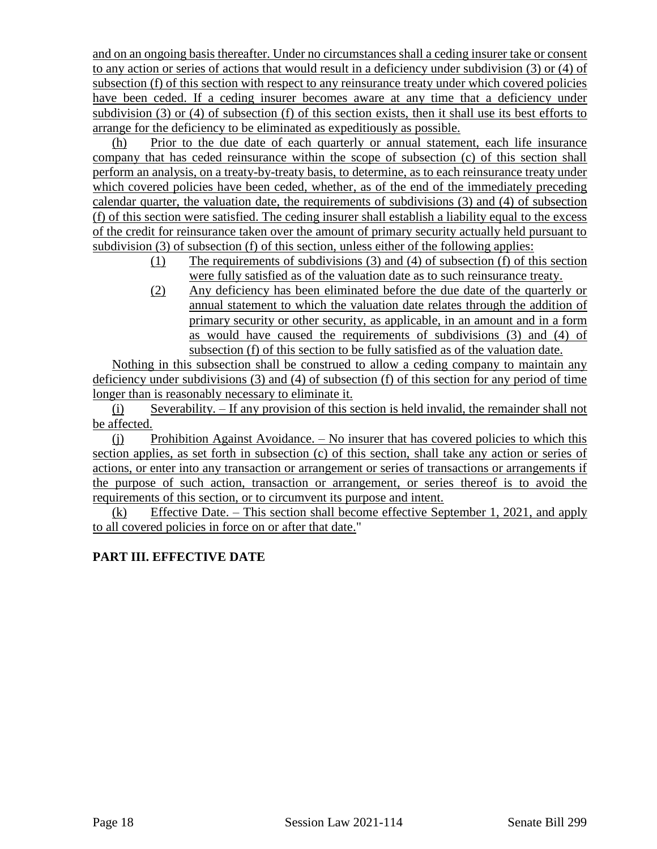and on an ongoing basis thereafter. Under no circumstances shall a ceding insurer take or consent to any action or series of actions that would result in a deficiency under subdivision (3) or (4) of subsection (f) of this section with respect to any reinsurance treaty under which covered policies have been ceded. If a ceding insurer becomes aware at any time that a deficiency under subdivision (3) or (4) of subsection (f) of this section exists, then it shall use its best efforts to arrange for the deficiency to be eliminated as expeditiously as possible.

(h) Prior to the due date of each quarterly or annual statement, each life insurance company that has ceded reinsurance within the scope of subsection (c) of this section shall perform an analysis, on a treaty-by-treaty basis, to determine, as to each reinsurance treaty under which covered policies have been ceded, whether, as of the end of the immediately preceding calendar quarter, the valuation date, the requirements of subdivisions (3) and (4) of subsection (f) of this section were satisfied. The ceding insurer shall establish a liability equal to the excess of the credit for reinsurance taken over the amount of primary security actually held pursuant to subdivision (3) of subsection (f) of this section, unless either of the following applies:

- (1) The requirements of subdivisions (3) and (4) of subsection (f) of this section were fully satisfied as of the valuation date as to such reinsurance treaty.
- (2) Any deficiency has been eliminated before the due date of the quarterly or annual statement to which the valuation date relates through the addition of primary security or other security, as applicable, in an amount and in a form as would have caused the requirements of subdivisions (3) and (4) of subsection (f) of this section to be fully satisfied as of the valuation date.

Nothing in this subsection shall be construed to allow a ceding company to maintain any deficiency under subdivisions (3) and (4) of subsection (f) of this section for any period of time longer than is reasonably necessary to eliminate it.

(i) Severability. – If any provision of this section is held invalid, the remainder shall not be affected.

(j) Prohibition Against Avoidance. – No insurer that has covered policies to which this section applies, as set forth in subsection (c) of this section, shall take any action or series of actions, or enter into any transaction or arrangement or series of transactions or arrangements if the purpose of such action, transaction or arrangement, or series thereof is to avoid the requirements of this section, or to circumvent its purpose and intent.

(k) Effective Date. – This section shall become effective September 1, 2021, and apply to all covered policies in force on or after that date."

# **PART III. EFFECTIVE DATE**